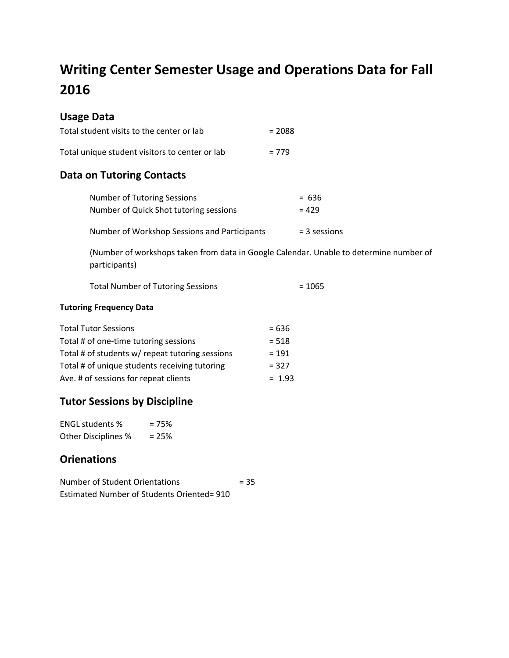# **Writing Center Semester Usage and Operations Data for Fall 2016**

#### **Usage Data**

| Total student visits to the center or lab      | $= 2088$ |
|------------------------------------------------|----------|
| Total unique student visitors to center or lab | $= 779$  |

## **Data on Tutoring Contacts**

| Number of Tutoring Sessions                  | $= 636$        |
|----------------------------------------------|----------------|
| Number of Quick Shot tutoring sessions       | $= 429$        |
| Number of Workshop Sessions and Participants | $=$ 3 sessions |

(Number of workshops taken from data in Google Calendar. Unable to determine number of participants)

| <b>Total Number of Tutoring Sessions</b> | $= 1065$ |
|------------------------------------------|----------|
|------------------------------------------|----------|

#### **Tutoring Frequency Data**

| <b>Total Tutor Sessions</b>                     | $= 636$  |
|-------------------------------------------------|----------|
| Total # of one-time tutoring sessions           | $= 518$  |
| Total # of students w/ repeat tutoring sessions | $= 191$  |
| Total # of unique students receiving tutoring   | $= 327$  |
| Ave. # of sessions for repeat clients           | $= 1.93$ |

# **Tutor Sessions by Discipline**

| <b>ENGL students %</b>     | $= 75%$ |
|----------------------------|---------|
| <b>Other Disciplines %</b> | $= 25%$ |

#### **Orienations**

Number of Student Orientations = 35 Estimated Number of Students Oriented= 910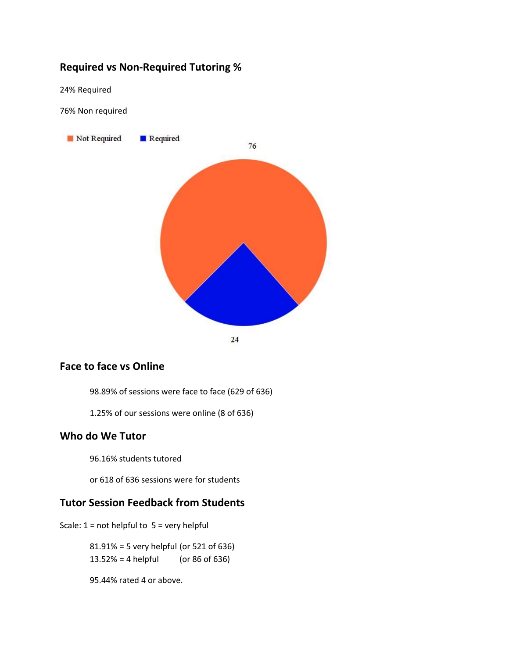## **Required vs Non-Required Tutoring %**

24% Required

76% Non required



#### **Face to face vs Online**

98.89% of sessions were face to face (629 of 636)

1.25% of our sessions were online (8 of 636)

#### **Who do We Tutor**

96.16% students tutored

or 618 of 636 sessions were for students

#### **Tutor Session Feedback from Students**

Scale:  $1 = not helpful to 5 = very helpful$ 

81.91% = 5 very helpful (or 521 of 636)  $13.52\% = 4$  helpful (or 86 of 636)

95.44% rated 4 or above.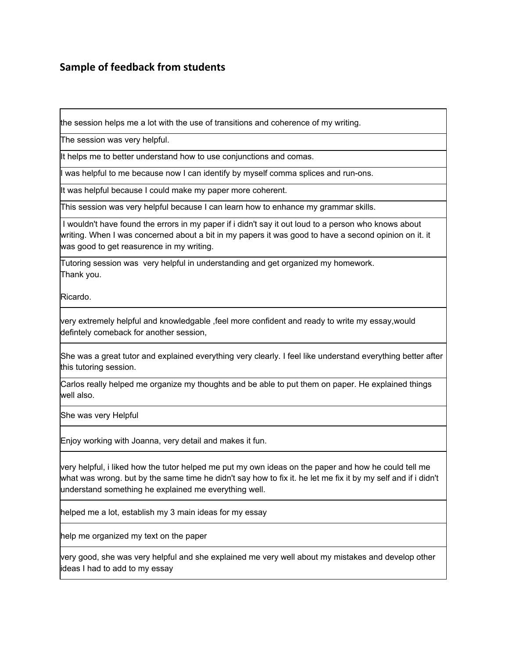#### **Sample of feedback from students**

the session helps me a lot with the use of transitions and coherence of my writing.

The session was very helpful.

It helps me to better understand how to use conjunctions and comas.

I was helpful to me because now I can identify by myself comma splices and run-ons.

It was helpful because I could make my paper more coherent.

This session was very helpful because I can learn how to enhance my grammar skills.

I wouldn't have found the errors in my paper if i didn't say it out loud to a person who knows about writing. When I was concerned about a bit in my papers it was good to have a second opinion on it. it was good to get reasurence in my writing.

Tutoring session was very helpful in understanding and get organized my homework. Thank you.

Ricardo.

very extremely helpful and knowledgable ,feel more confident and ready to write my essay,would defintely comeback for another session,

She was a great tutor and explained everything very clearly. I feel like understand everything better after this tutoring session.

Carlos really helped me organize my thoughts and be able to put them on paper. He explained things well also.

She was very Helpful

Enjoy working with Joanna, very detail and makes it fun.

very helpful, i liked how the tutor helped me put my own ideas on the paper and how he could tell me what was wrong. but by the same time he didn't say how to fix it. he let me fix it by my self and if i didn't understand something he explained me everything well.

helped me a lot, establish my 3 main ideas for my essay

help me organized my text on the paper

very good, she was very helpful and she explained me very well about my mistakes and develop other ideas I had to add to my essay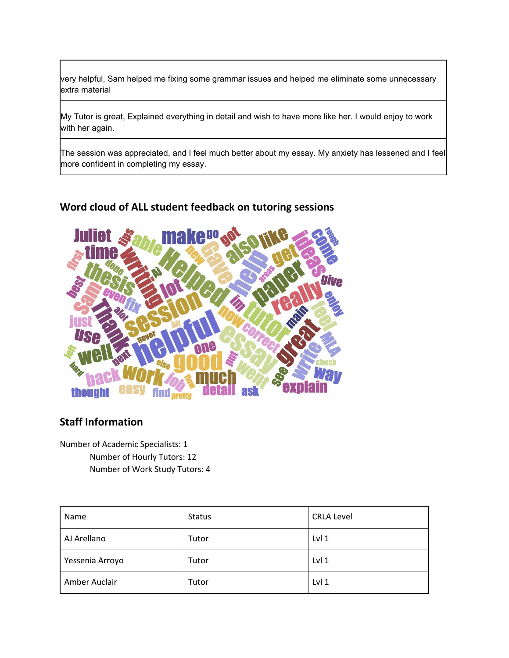very helpful, Sam helped me fixing some grammar issues and helped me eliminate some unnecessary extra material

My Tutor is great, Explained everything in detail and wish to have more like her. I would enjoy to work with her again.

The session was appreciated, and I feel much better about my essay. My anxiety has lessened and I feel more confident in completing my essay.

# **Word cloud of ALL student feedback on tutoring sessions**



# **Staff Information**

Number of Academic Specialists: 1 Number of Hourly Tutors: 12 Number of Work Study Tutors: 4

| Name            | <b>Status</b> | <b>CRLA Level</b> |
|-----------------|---------------|-------------------|
| AJ Arellano     | Tutor         | Lvl <sub>1</sub>  |
| Yessenia Arroyo | Tutor         | Lvl <sub>1</sub>  |
| Amber Auclair   | Tutor         | Lvl <sub>1</sub>  |